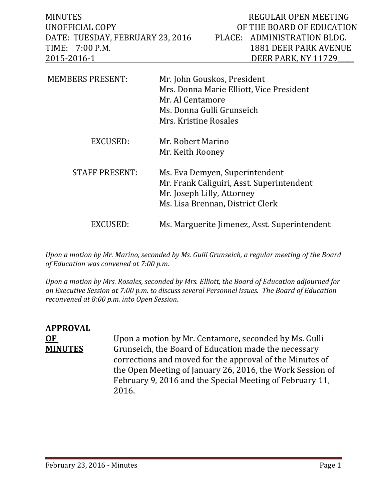| <b>MINUTES</b><br>UNOFFICIAL COPY<br>DATE: TUESDAY, FEBRUARY 23, 2016<br>7:00 P.M.<br>TIME: | PLACE:                                                                                                                                            | REGULAR OPEN MEETING<br>OF THE BOARD OF EDUCATION<br>ADMINISTRATION BLDG.<br><b>1881 DEER PARK AVENUE</b> |
|---------------------------------------------------------------------------------------------|---------------------------------------------------------------------------------------------------------------------------------------------------|-----------------------------------------------------------------------------------------------------------|
| 2015-2016-1                                                                                 |                                                                                                                                                   | DEER PARK, NY 11729                                                                                       |
| <b>MEMBERS PRESENT:</b>                                                                     | Mr. John Gouskos, President<br>Mrs. Donna Marie Elliott, Vice President<br>Mr. Al Centamore<br>Ms. Donna Gulli Grunseich<br>Mrs. Kristine Rosales |                                                                                                           |
| EXCUSED:                                                                                    | Mr. Robert Marino<br>Mr. Keith Rooney                                                                                                             |                                                                                                           |
| <b>STAFF PRESENT:</b>                                                                       | Ms. Eva Demyen, Superintendent<br>Mr. Frank Caliguiri, Asst. Superintendent<br>Mr. Joseph Lilly, Attorney<br>Ms. Lisa Brennan, District Clerk     |                                                                                                           |
| EXCUSED:                                                                                    | Ms. Marguerite Jimenez, Asst. Superintendent                                                                                                      |                                                                                                           |

*Upon a motion by Mr. Marino, seconded by Ms. Gulli Grunseich, a regular meeting of the Board of Education was convened at 7:00 p.m.*

*Upon a motion by Mrs. Rosales, seconded by Mrs. Elliott, the Board of Education adjourned for an Executive Session at 7:00 p.m. to discuss several Personnel issues. The Board of Education reconvened at 8:00 p.m. into Open Session.* 

## **APPROVAL OF** Upon a motion by Mr. Centamore, seconded by Ms. Gulli<br>**MINUTES** Grunseich, the Board of Education made the necessary Grunseich, the Board of Education made the necessary corrections and moved for the approval of the Minutes of the Open Meeting of January 26, 2016, the Work Session of February 9, 2016 and the Special Meeting of February 11, 2016.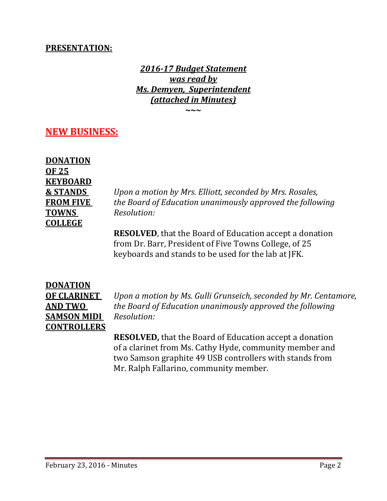## **PRESENTATION:**

*2016-17 Budget Statement was read by Ms. Demyen, Superintendent (attached in Minutes)*

**~~~**

## **NEW BUSINESS:**

| <b>DONATION</b>     |
|---------------------|
| OF 25               |
| <b>KEYBOARD</b>     |
| <b>&amp; STANDS</b> |
| <b>FROM FIVE</b>    |
| <b>TOWNS</b>        |
| <b>COLLEGE</b>      |

**& STANDS** *Upon a motion by Mrs. Elliott, seconded by Mrs. Rosales,* **FROM FIVE** *the Board of Education unanimously approved the following*  $Resolution:$ 

**RESOLVED**, that the Board of Education accept a donation from Dr. Barr, President of Five Towns College, of 25 keyboards and stands to be used for the lab at JFK.

# **DONATION SAMSON MIDI** *Resolution:* **CONTROLLERS**

**OF CLARINET** *Upon a motion by Ms. Gulli Grunseich, seconded by Mr. Centamore,* **AND TWO** *the Board of Education unanimously approved the following*

> **RESOLVED,** that the Board of Education accept a donation of a clarinet from Ms. Cathy Hyde, community member and two Samson graphite 49 USB controllers with stands from Mr. Ralph Fallarino, community member.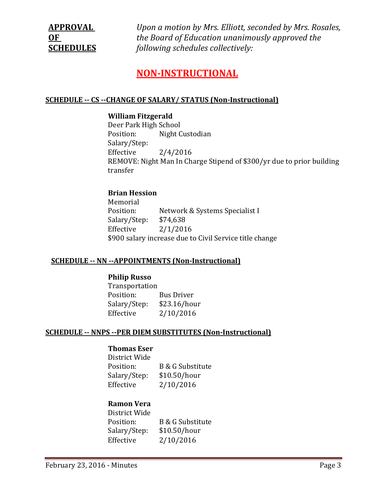**APPROVAL** *Upon a motion by Mrs. Elliott, seconded by Mrs. Rosales,* **OF** *the Board of Education unanimously approved the*  **SCHEDULES** *following schedules collectively:*

## **NON-INSTRUCTIONAL**

#### **SCHEDULE -- CS --CHANGE OF SALARY/ STATUS (Non-Instructional)**

#### **William Fitzgerald**

Deer Park High School<br>Position: Night C Night Custodian Salary/Step:<br>Effective  $2/4/2016$ REMOVE: Night Man In Charge Stipend of \$300/yr due to prior building transfer

#### **Brian Hession**

Memorial<br>Position: Network & Systems Specialist I<br>\$74,638 Salary/Step:<br>Effective  $2/1/2016$ \$900 salary increase due to Civil Service title change

#### **SCHEDULE -- NN --APPOINTMENTS (Non-Instructional)**

#### **Philip Russo**

Transportation<br>Position: Bus Driver<br>\$23.16/hour Salary/Step:<br>Effective  $2/10/2016$ 

#### **SCHEDULE -- NNPS --PER DIEM SUBSTITUTES (Non-Instructional)**

#### **Thomas Eser**

District Wide B & G Substitute<br>\$10.50/hour Salary/Step:<br>Effective  $2/10/2016$ 

#### **Ramon Vera**

District Wide B & G Substitute<br>\$10.50/hour Salary/Step: Effective 2/10/2016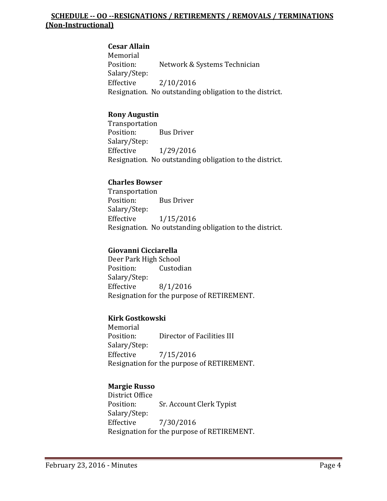#### **SCHEDULE -- OO --RESIGNATIONS / RETIREMENTS / REMOVALS / TERMINATIONS (Non-Instructional)**

#### **Cesar Allain**

Memorial<br>Position: Network & Systems Technician Salary/Step: Effective 2/10/2016 Resignation. No outstanding obligation to the district.

### **Rony Augustin**

Transportation<br>Position: **Bus Driver** Salary/Step: Effective 1/29/2016 Resignation. No outstanding obligation to the district.

#### **Charles Bowser**

Transportation<br>Position: **Bus Driver** Salary/Step:<br>Effective  $1/15/2016$ Resignation. No outstanding obligation to the district.

#### **Giovanni Cicciarella**

Deer Park High School<br>Position: Custodian Position: Salary/Step:<br>Effective  $8/1/2016$ Resignation for the purpose of RETIREMENT.

#### **Kirk Gostkowski**

Memorial<br>Position: Director of Facilities III Salary/Step:  $7/15/2016$ Resignation for the purpose of RETIREMENT.

## **Margie Russo**

District Office<br>Position: Sr. Account Clerk Typist Salary/Step: Effective 7/30/2016 Resignation for the purpose of RETIREMENT.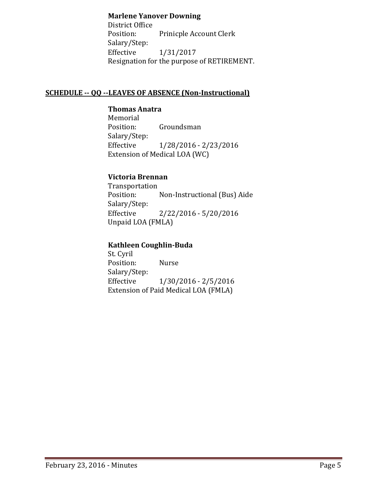#### **Marlene Yanover Downing**

District Office<br>Position: Prinicple Account Clerk Salary/Step:<br>Effective Effective 1/31/2017 Resignation for the purpose of RETIREMENT.

#### **SCHEDULE -- QQ --LEAVES OF ABSENCE (Non-Instructional)**

#### **Thomas Anatra**

Memorial<br>Position: Groundsman Salary/Step:<br>Effective Effective 1/28/2016 - 2/23/2016 Extension of Medical LOA (WC)

#### **Victoria Brennan**

Transportation<br>Position: Non-Instructional (Bus) Aide Salary/Step:<br>Effective  $2/22/2016 - 5/20/2016$ Unpaid LOA (FMLA)

### **Kathleen Coughlin-Buda**

St. Cyril Position: Nurse Salary/Step:<br>Effective Effective 1/30/2016 - 2/5/2016 Extension of Paid Medical LOA (FMLA)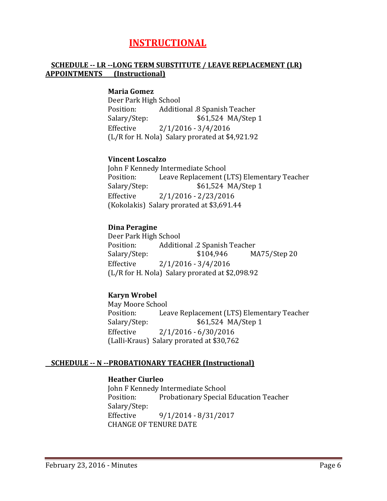## **INSTRUCTIONAL**

#### **SCHEDULE -- LR --LONG TERM SUBSTITUTE / LEAVE REPLACEMENT (LR) APPOINTMENTS (Instructional)**

#### **Maria Gomez**

Deer Park High School Position: Additional .8 Spanish Teacher<br>Salary/Step: \$61,524 MA/Step \$61,524 MA/Step 1 Effective 2/1/2016 - 3/4/2016 (L/R for H. Nola) Salary prorated at \$4,921.92

#### **Vincent Loscalzo**

John F Kennedy Intermediate School<br>Position: Leave Replacement ( Position: Leave Replacement (LTS) Elementary Teacher<br>Salary/Step: \$61,524 MA/Step 1 Salary/Step: \$61,524 MA/Step 1<br>Effective 2/1/2016 - 2/23/2016  $2/1/2016 - 2/23/2016$ (Kokolakis) Salary prorated at \$3,691.44

#### **Dina Peragine**

Deer Park High School<br>Position: Additic Position: Additional .2 Spanish Teacher<br>Salary/Step: \$104,946 M.  $MA75/Step 20$ Effective 2/1/2016 - 3/4/2016 (L/R for H. Nola) Salary prorated at \$2,098.92

#### **Karyn Wrobel**

May Moore School<br>Position: Lea Position: Leave Replacement (LTS) Elementary Teacher<br>Salary/Step: \$61,524 MA/Step 1 \$61,524 MA/Step 1 Effective 2/1/2016 - 6/30/2016 (Lalli-Kraus) Salary prorated at \$30,762

#### **SCHEDULE -- N --PROBATIONARY TEACHER (Instructional)**

#### **Heather Ciurleo**

John F Kennedy Intermediate School<br>Position: Probationary Special Probationary Special Education Teacher Salary/Step:<br>Effective Effective 9/1/2014 - 8/31/2017 CHANGE OF TENURE DATE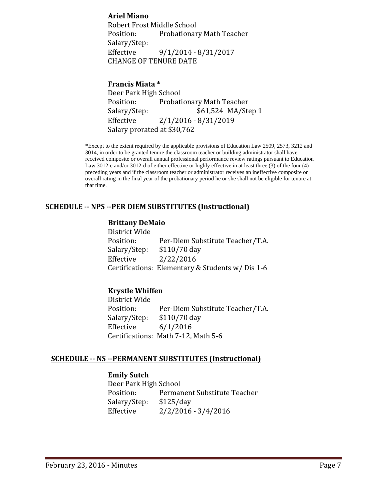#### **Ariel Miano**

Robert Frost Middle School Probationary Math Teacher Salary/Step:<br>Effective Effective 9/1/2014 - 8/31/2017 CHANGE OF TENURE DATE

#### **Francis Miata \***

Deer Park High School Position: Probationary Math Teacher<br>Salary/Step: \$61,524 MA/Ste \$61,524 MA/Step 1 Effective 2/1/2016 - 8/31/2019 Salary prorated at \$30,762

\*Except to the extent required by the applicable provisions of Education Law 2509, 2573, 3212 and 3014, in order to be granted tenure the classroom teacher or building administrator shall have received composite or overall annual professional performance review ratings pursuant to Education Law 3012-c and/or 3012-d of either effective or highly effective in at least three (3) of the four (4) preceding years and if the classroom teacher or administrator receives an ineffective composite or overall rating in the final year of the probationary period he or she shall not be eligible for tenure at that time.

#### **SCHEDULE -- NPS --PER DIEM SUBSTITUTES (Instructional)**

#### **Brittany DeMaio**

District Wide<br>Position: Position: Per-Diem Substitute Teacher/T.A.<br>Salary/Step: \$110/70 day Salary/Step: \$110/70 day<br>Effective 2/22/2016 Effective 2/22/2016 Certifications: Elementary & Students w/ Dis 1-6

#### **Krystle Whiffen**

District Wide<br>Position: Per-Diem Substitute Teacher/T.A.<br>\$110/70 day Salary/Step:<br>Effective  $6/1/2016$ Certifications: Math 7-12, Math 5-6

#### **SCHEDULE -- NS --PERMANENT SUBSTITUTES (Instructional)**

#### **Emily Sutch**

Deer Park High School<br>Position: Perma Permanent Substitute Teacher<br>\$125/day Salary/Step:<br>Effective  $2/2/2016 - 3/4/2016$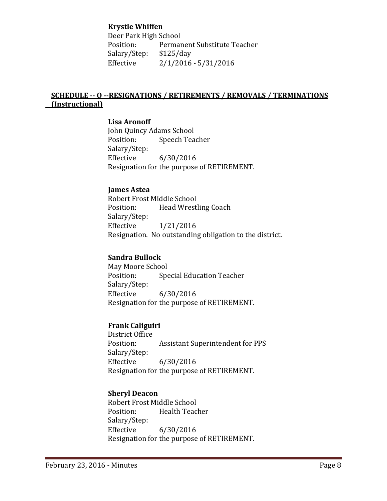#### **Krystle Whiffen**

Deer Park High School<br>Position: Permai Permanent Substitute Teacher<br>\$125/day Salary/Step:<br>Effective  $2/1/2016 - 5/31/2016$ 

#### **SCHEDULE -- O --RESIGNATIONS / RETIREMENTS / REMOVALS / TERMINATIONS (Instructional)**

#### **Lisa Aronoff**

John Quincy Adams School<br>Position: Speech Tea Speech Teacher Salary/Step:<br>Effective Effective 6/30/2016 Resignation for the purpose of RETIREMENT.

#### **James Astea**

Robert Frost Middle School<br>Position: Head Wrest Head Wrestling Coach Salary/Step:<br>Effective Effective 1/21/2016 Resignation. No outstanding obligation to the district.

#### **Sandra Bullock**

May Moore School<br>Position: Spe Special Education Teacher Salary/Step:<br>Effective  $6/30/2016$ Resignation for the purpose of RETIREMENT.

#### **Frank Caliguiri**

District Office<br>Position: Assistant Superintendent for PPS Salary/Step: Effective 6/30/2016 Resignation for the purpose of RETIREMENT.

#### **Sheryl Deacon**

Robert Frost Middle School Health Teacher Salary/Step:  $6/30/2016$ Resignation for the purpose of RETIREMENT.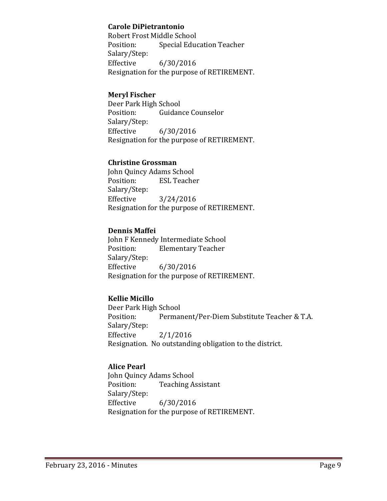#### **Carole DiPietrantonio**

Robert Frost Middle School<br>Position: Special Educ Special Education Teacher Salary/Step: Effective 6/30/2016 Resignation for the purpose of RETIREMENT.

#### **Meryl Fischer**

Deer Park High School<br>Position: Guidan **Guidance Counselor** Salary/Step:<br>Effective  $6/30/2016$ Resignation for the purpose of RETIREMENT.

#### **Christine Grossman**

John Quincy Adams School<br>Position: ESL Teache **ESL Teacher** Salary/Step:<br>Effective  $3/24/2016$ Resignation for the purpose of RETIREMENT.

#### **Dennis Maffei**

John F Kennedy Intermediate School<br>Position: Elementary Teacher **Elementary Teacher** Salary/Step: Effective 6/30/2016 Resignation for the purpose of RETIREMENT.

#### **Kellie Micillo**

Deer Park High School<br>Position: Permai Permanent/Per-Diem Substitute Teacher & T.A. Salary/Step:<br>Effective  $2/1/2016$ Resignation. No outstanding obligation to the district.

#### **Alice Pearl**

John Quincy Adams School<br>Position: Teaching A **Teaching Assistant** Salary/Step:<br>Effective  $6/30/2016$ Resignation for the purpose of RETIREMENT.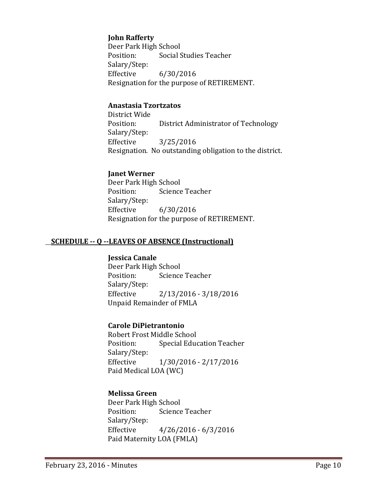#### **John Rafferty**

Deer Park High School<br>Position: Social S Social Studies Teacher Salary/Step:  $6/30/2016$ Resignation for the purpose of RETIREMENT.

#### **Anastasia Tzortzatos**

District Wide District Administrator of Technology Salary/Step: Effective 3/25/2016 Resignation. No outstanding obligation to the district.

#### **Janet Werner**

Deer Park High School<br>Position: Science Science Teacher Salary/Step:<br>Effective  $6/30/2016$ Resignation for the purpose of RETIREMENT.

#### **SCHEDULE -- Q --LEAVES OF ABSENCE (Instructional)**

#### **Jessica Canale**

Deer Park High School<br>Position: Science Science Teacher Salary/Step:<br>Effective Effective 2/13/2016 - 3/18/2016 Unpaid Remainder of FMLA

#### **Carole DiPietrantonio**

Robert Frost Middle School<br>Position: Special Educ Special Education Teacher Salary/Step: Effective 1/30/2016 - 2/17/2016 Paid Medical LOA (WC)

#### **Melissa Green**

Deer Park High School Science Teacher Salary/Step:<br>Effective  $4/26/2016 - 6/3/2016$ Paid Maternity LOA (FMLA)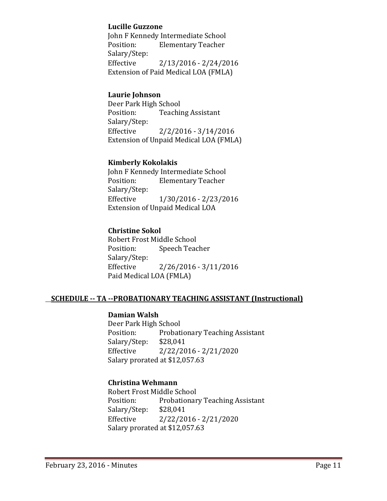#### **Lucille Guzzone**

John F Kennedy Intermediate School<br>Position: Flementary Teacher **Elementary Teacher** Salary/Step:  $2/13/2016 - 2/24/2016$ Extension of Paid Medical LOA (FMLA)

#### **Laurie Johnson**

Deer Park High School<br>Position: Teachi **Teaching Assistant** Salary/Step: Effective 2/2/2016 - 3/14/2016 Extension of Unpaid Medical LOA (FMLA)

#### **Kimberly Kokolakis**

John F Kennedy Intermediate School<br>Position: Elementary Teacher **Elementary Teacher** Salary/Step:<br>Effective Effective 1/30/2016 - 2/23/2016 Extension of Unpaid Medical LOA

#### **Christine Sokol**

Robert Frost Middle School<br>Position: Speech Teac Speech Teacher Salary/Step: Effective 2/26/2016 - 3/11/2016 Paid Medical LOA (FMLA)

#### **SCHEDULE -- TA --PROBATIONARY TEACHING ASSISTANT (Instructional)**

#### **Damian Walsh**

Deer Park High School<br>Position: Probati Probationary Teaching Assistant<br>\$28,041 Salary/Step:<br>Effective  $2/22/2016 - 2/21/2020$ Salary prorated at \$12,057.63

#### **Christina Wehmann**

Robert Frost Middle School Probationary Teaching Assistant<br>\$28,041 Salary/Step:<br>Effective  $2/22/2016 - 2/21/2020$ Salary prorated at \$12,057.63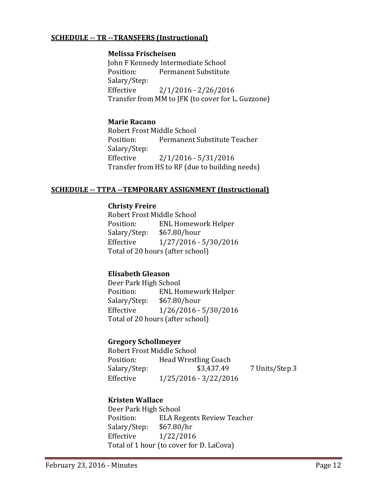#### **SCHEDULE -- TR --TRANSFERS (Instructional)**

#### **Melissa Frischeisen**

John F Kennedy Intermediate School<br>Position: Permanent Substitute Permanent Substitute Salary/Step:<br>Effective  $2/1/2016 - 2/26/2016$ Transfer from MM to JFK (to cover for L. Guzzone)

#### **Marie Racano**

Robert Frost Middle School<br>Position: Permanent : Permanent Substitute Teacher Salary/Step:  $2/1/2016 - 5/31/2016$ Transfer from HS to RF (due to building needs)

#### **SCHEDULE -- TTPA --TEMPORARY ASSIGNMENT (Instructional)**

#### **Christy Freire**

Robert Frost Middle School ENL Homework Helper<br>\$67.80/hour Salary/Step: Effective 1/27/2016 - 5/30/2016 Total of 20 hours (after school)

#### **Elisabeth Gleason**

Deer Park High School<br>Position: ENL Ho ENL Homework Helper<br>\$67.80/hour Salary/Step: Effective 1/26/2016 - 5/30/2016 Total of 20 hours (after school)

#### **Gregory Schollmeyer**

| Robert Frost Middle School |                             |                |  |  |
|----------------------------|-----------------------------|----------------|--|--|
| Position:                  | <b>Head Wrestling Coach</b> |                |  |  |
| Salary/Step:               | \$3,437.49                  | 7 Units/Step 3 |  |  |
| Effective                  | 1/25/2016 - 3/22/2016       |                |  |  |

#### **Kristen Wallace**

Deer Park High School<br>Position: ELA Re ELA Regents Review Teacher<br>\$67.80/hr Salary/Step: Effective 1/22/2016 Total of 1 hour (to cover for D. LaCova)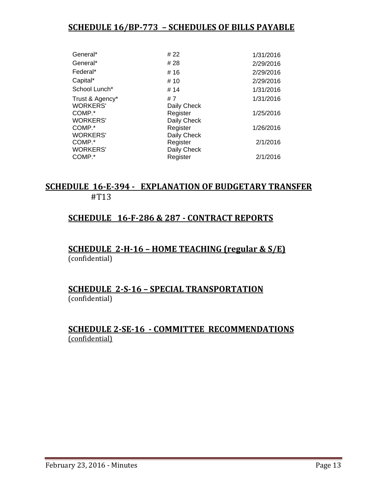## **SCHEDULE 16/BP-773 – SCHEDULES OF BILLS PAYABLE**

| General*        | # 22        | 1/31/2016 |
|-----------------|-------------|-----------|
| General*        | # 28        | 2/29/2016 |
| Federal*        | #16         | 2/29/2016 |
| Capital*        | # 10        | 2/29/2016 |
| School Lunch*   | # 14        | 1/31/2016 |
| Trust & Agency* | #7          | 1/31/2016 |
| <b>WORKERS'</b> | Daily Check |           |
| COMP.*          | Register    | 1/25/2016 |
| <b>WORKERS'</b> | Daily Check |           |
| COMP.*          | Register    | 1/26/2016 |
| <b>WORKERS'</b> | Daily Check |           |
| COMP.*          | Register    | 2/1/2016  |
| <b>WORKERS'</b> | Daily Check |           |
| COMP.*          | Register    | 2/1/2016  |
|                 |             |           |

#### **SCHEDULE 16-E-394 - EXPLANATION OF BUDGETARY TRANSFER** #T13

### **SCHEDULE 16-F-286 & 287 - CONTRACT REPORTS**

#### **SCHEDULE 2-H-16 – HOME TEACHING (regular & S/E)**  (confidential)

#### **SCHEDULE 2-S-16 – SPECIAL TRANSPORTATION**  (confidential)

### **SCHEDULE 2-SE-16 - COMMITTEE RECOMMENDATIONS** (confidential)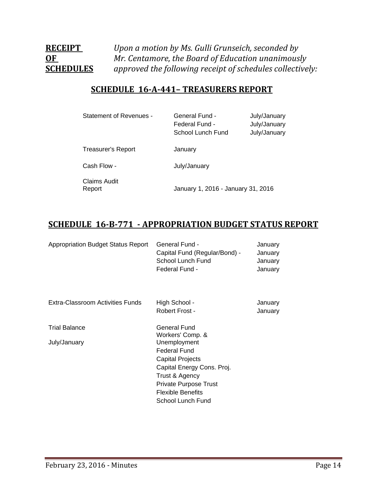## **RECEIPT** *Upon a motion by Ms. Gulli Grunseich, seconded by* **OF** *Mr. Centamore*, *the Board of Education unanimously*   $s$  *approved the following receipt of schedules collectively:*

## **SCHEDULE 16-A-441– TREASURERS REPORT**

| Statement of Revenues -       | <b>General Fund -</b><br>Federal Fund -<br>School Lunch Fund | July/January<br>July/January<br>July/January |
|-------------------------------|--------------------------------------------------------------|----------------------------------------------|
| <b>Treasurer's Report</b>     | January                                                      |                                              |
| Cash Flow -                   | July/January                                                 |                                              |
| <b>Claims Audit</b><br>Report | January 1, 2016 - January 31, 2016                           |                                              |

## **SCHEDULE 16-B-771 - APPROPRIATION BUDGET STATUS REPORT**

| <b>Appropriation Budget Status Report</b> | General Fund -<br>Capital Fund (Regular/Bond) -<br>School Lunch Fund<br>Federal Fund -                                                                                                                                              | January<br>January<br>January<br>January |
|-------------------------------------------|-------------------------------------------------------------------------------------------------------------------------------------------------------------------------------------------------------------------------------------|------------------------------------------|
| Extra-Classroom Activities Funds          | High School -<br>Robert Frost -                                                                                                                                                                                                     | January<br>January                       |
| <b>Trial Balance</b><br>July/January      | General Fund<br>Workers' Comp. &<br>Unemployment<br><b>Federal Fund</b><br><b>Capital Projects</b><br>Capital Energy Cons. Proj.<br>Trust & Agency<br><b>Private Purpose Trust</b><br><b>Flexible Benefits</b><br>School Lunch Fund |                                          |